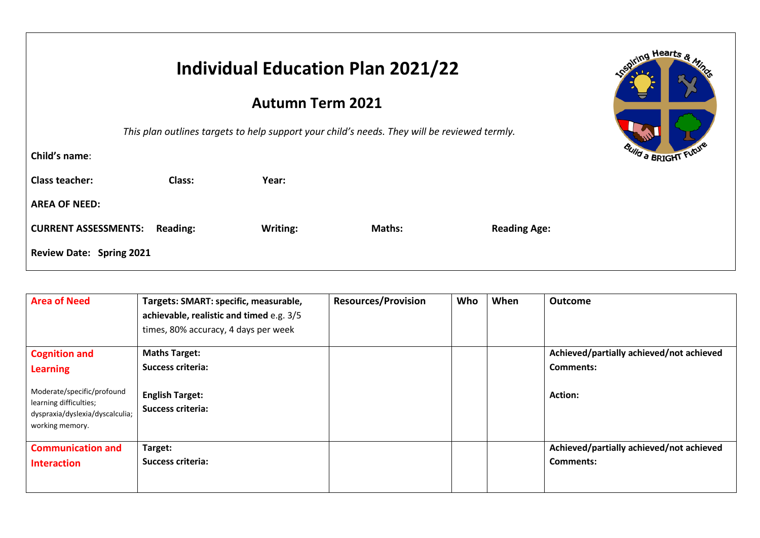|                                                |          | <b>Individual Education Plan 2021/22</b>                                                     |                     | piring Hearts |
|------------------------------------------------|----------|----------------------------------------------------------------------------------------------|---------------------|---------------|
|                                                |          |                                                                                              |                     |               |
|                                                |          | This plan outlines targets to help support your child's needs. They will be reviewed termly. |                     |               |
| Child's name:                                  |          |                                                                                              |                     | Wild a BRIGHT |
| <b>Class teacher:</b><br>Class:                | Year:    |                                                                                              |                     |               |
| <b>AREA OF NEED:</b>                           |          |                                                                                              |                     |               |
| <b>CURRENT ASSESSMENTS:</b><br><b>Reading:</b> | Writing: | Maths:                                                                                       | <b>Reading Age:</b> |               |
| <b>Review Date: Spring 2021</b>                |          |                                                                                              |                     |               |

| <b>Area of Need</b>                                                                                        | Targets: SMART: specific, measurable,<br>achievable, realistic and timed e.g. 3/5<br>times, 80% accuracy, 4 days per week | <b>Resources/Provision</b> | Who | When | <b>Outcome</b>                           |
|------------------------------------------------------------------------------------------------------------|---------------------------------------------------------------------------------------------------------------------------|----------------------------|-----|------|------------------------------------------|
| <b>Cognition and</b>                                                                                       | <b>Maths Target:</b>                                                                                                      |                            |     |      | Achieved/partially achieved/not achieved |
| <b>Learning</b>                                                                                            | Success criteria:                                                                                                         |                            |     |      | Comments:                                |
| Moderate/specific/profound<br>learning difficulties;<br>dyspraxia/dyslexia/dyscalculia;<br>working memory. | <b>English Target:</b><br>Success criteria:                                                                               |                            |     |      | <b>Action:</b>                           |
| <b>Communication and</b>                                                                                   | Target:                                                                                                                   |                            |     |      | Achieved/partially achieved/not achieved |
| <b>Interaction</b>                                                                                         | <b>Success criteria:</b>                                                                                                  |                            |     |      | Comments:                                |
|                                                                                                            |                                                                                                                           |                            |     |      |                                          |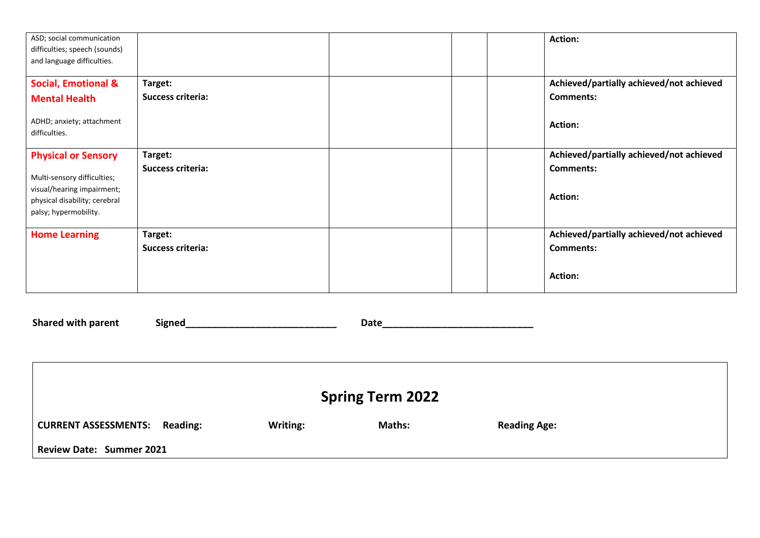| ASD; social communication      |                          |  | Action:                                  |
|--------------------------------|--------------------------|--|------------------------------------------|
| difficulties; speech (sounds)  |                          |  |                                          |
| and language difficulties.     |                          |  |                                          |
|                                |                          |  |                                          |
| <b>Social, Emotional &amp;</b> | Target:                  |  | Achieved/partially achieved/not achieved |
| <b>Mental Health</b>           | <b>Success criteria:</b> |  | <b>Comments:</b>                         |
| ADHD; anxiety; attachment      |                          |  | Action:                                  |
| difficulties.                  |                          |  |                                          |
| <b>Physical or Sensory</b>     | Target:                  |  | Achieved/partially achieved/not achieved |
|                                | <b>Success criteria:</b> |  | <b>Comments:</b>                         |
| Multi-sensory difficulties;    |                          |  |                                          |
| visual/hearing impairment;     |                          |  |                                          |
| physical disability; cerebral  |                          |  | Action:                                  |
| palsy; hypermobility.          |                          |  |                                          |
| <b>Home Learning</b>           | Target:                  |  | Achieved/partially achieved/not achieved |
|                                | <b>Success criteria:</b> |  | <b>Comments:</b>                         |
|                                |                          |  |                                          |
|                                |                          |  |                                          |
|                                |                          |  | Action:                                  |
|                                |                          |  |                                          |

**Shared with parent Signed\_\_\_\_\_\_\_\_\_\_\_\_\_\_\_\_\_\_\_\_\_\_\_\_\_\_\_\_ Date\_\_\_\_\_\_\_\_\_\_\_\_\_\_\_\_\_\_\_\_\_\_\_\_\_\_\_\_ Spring Term 2022** CURRENT ASSESSMENTS: Reading: Writing: Maths: Reading Age: **Review Date: Summer 2021**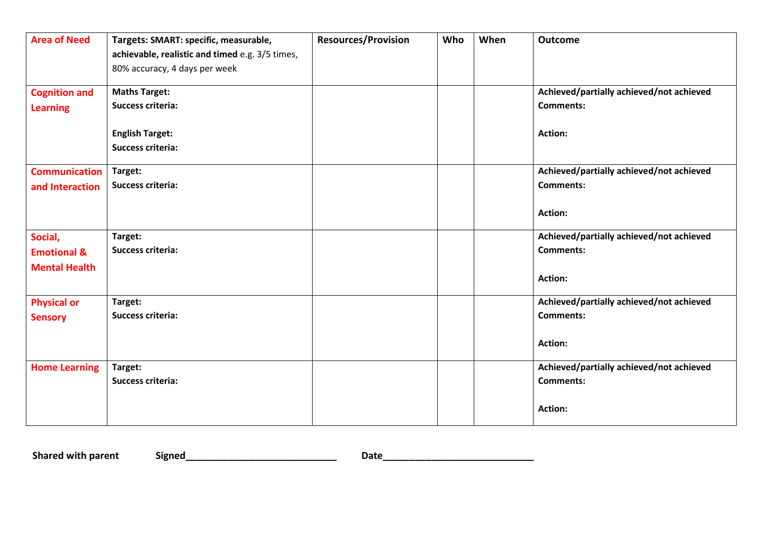| <b>Area of Need</b>    | Targets: SMART: specific, measurable,           | <b>Resources/Provision</b> | Who | When | Outcome                                  |
|------------------------|-------------------------------------------------|----------------------------|-----|------|------------------------------------------|
|                        | achievable, realistic and timed e.g. 3/5 times, |                            |     |      |                                          |
|                        | 80% accuracy, 4 days per week                   |                            |     |      |                                          |
| <b>Cognition and</b>   | <b>Maths Target:</b>                            |                            |     |      | Achieved/partially achieved/not achieved |
| <b>Learning</b>        | <b>Success criteria:</b>                        |                            |     |      | <b>Comments:</b>                         |
|                        | <b>English Target:</b>                          |                            |     |      | <b>Action:</b>                           |
|                        | <b>Success criteria:</b>                        |                            |     |      |                                          |
| <b>Communication</b>   | Target:                                         |                            |     |      | Achieved/partially achieved/not achieved |
| and Interaction        | <b>Success criteria:</b>                        |                            |     |      | <b>Comments:</b>                         |
|                        |                                                 |                            |     |      | <b>Action:</b>                           |
| Social,                | Target:                                         |                            |     |      | Achieved/partially achieved/not achieved |
| <b>Emotional &amp;</b> | <b>Success criteria:</b>                        |                            |     |      | <b>Comments:</b>                         |
| <b>Mental Health</b>   |                                                 |                            |     |      | <b>Action:</b>                           |
| <b>Physical or</b>     | Target:                                         |                            |     |      | Achieved/partially achieved/not achieved |
| <b>Sensory</b>         | <b>Success criteria:</b>                        |                            |     |      | <b>Comments:</b>                         |
|                        |                                                 |                            |     |      | <b>Action:</b>                           |
| <b>Home Learning</b>   | Target:                                         |                            |     |      | Achieved/partially achieved/not achieved |
|                        | <b>Success criteria:</b>                        |                            |     |      | <b>Comments:</b>                         |
|                        |                                                 |                            |     |      | Action:                                  |

**Shared with parent Signed\_\_\_\_\_\_\_\_\_\_\_\_\_\_\_\_\_\_\_\_\_\_\_\_\_\_\_\_ Date\_\_\_\_\_\_\_\_\_\_\_\_\_\_\_\_\_\_\_\_\_\_\_\_\_\_\_\_**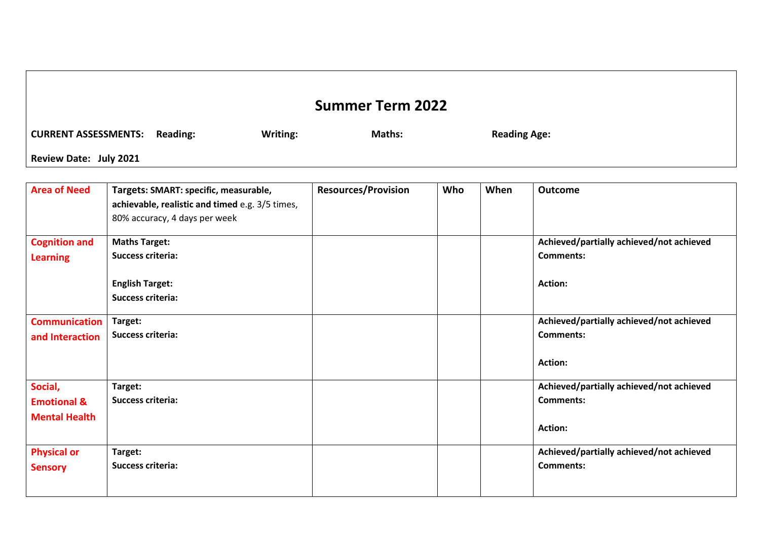## **Summer Term 2022** CURRENT ASSESSMENTS: Reading: Writing: Maths: Reading Age: **Review Date: July 2021**

| <b>Area of Need</b>                                       | Targets: SMART: specific, measurable,<br>achievable, realistic and timed e.g. 3/5 times,<br>80% accuracy, 4 days per week | <b>Resources/Provision</b> | Who | When | <b>Outcome</b>                                                                 |
|-----------------------------------------------------------|---------------------------------------------------------------------------------------------------------------------------|----------------------------|-----|------|--------------------------------------------------------------------------------|
| <b>Cognition and</b><br><b>Learning</b>                   | <b>Maths Target:</b><br><b>Success criteria:</b>                                                                          |                            |     |      | Achieved/partially achieved/not achieved<br><b>Comments:</b>                   |
|                                                           | <b>English Target:</b><br><b>Success criteria:</b>                                                                        |                            |     |      | <b>Action:</b>                                                                 |
| <b>Communication</b><br>and Interaction                   | Target:<br>Success criteria:                                                                                              |                            |     |      | Achieved/partially achieved/not achieved<br><b>Comments:</b><br><b>Action:</b> |
| Social,<br><b>Emotional &amp;</b><br><b>Mental Health</b> | Target:<br><b>Success criteria:</b>                                                                                       |                            |     |      | Achieved/partially achieved/not achieved<br><b>Comments:</b><br><b>Action:</b> |
| <b>Physical or</b><br><b>Sensory</b>                      | Target:<br>Success criteria:                                                                                              |                            |     |      | Achieved/partially achieved/not achieved<br><b>Comments:</b>                   |